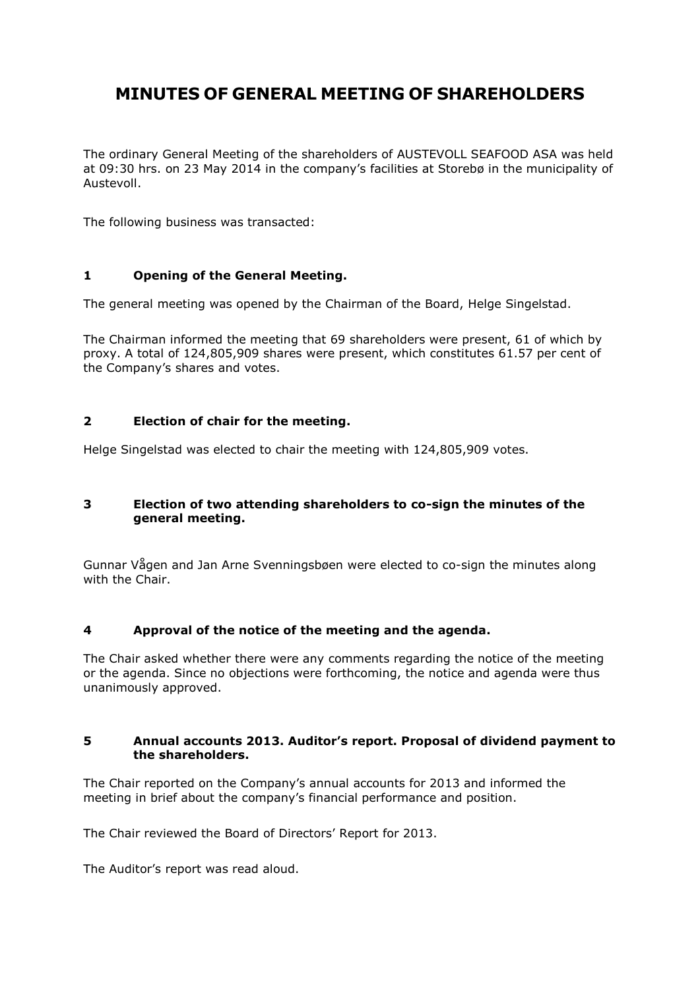# **MINUTES OF GENERAL MEETING OF SHAREHOLDERS**

The ordinary General Meeting of the shareholders of AUSTEVOLL SEAFOOD ASA was held at 09:30 hrs. on 23 May 2014 in the company's facilities at Storebø in the municipality of Austevoll.

The following business was transacted:

# **1 Opening of the General Meeting.**

The general meeting was opened by the Chairman of the Board, Helge Singelstad.

The Chairman informed the meeting that 69 shareholders were present, 61 of which by proxy. A total of 124,805,909 shares were present, which constitutes 61.57 per cent of the Company's shares and votes.

# **2 Election of chair for the meeting.**

Helge Singelstad was elected to chair the meeting with 124,805,909 votes.

# **3 Election of two attending shareholders to co-sign the minutes of the general meeting.**

Gunnar Vågen and Jan Arne Svenningsbøen were elected to co-sign the minutes along with the Chair.

# **4 Approval of the notice of the meeting and the agenda.**

The Chair asked whether there were any comments regarding the notice of the meeting or the agenda. Since no objections were forthcoming, the notice and agenda were thus unanimously approved.

## **5 Annual accounts 2013. Auditor's report. Proposal of dividend payment to the shareholders.**

The Chair reported on the Company's annual accounts for 2013 and informed the meeting in brief about the company's financial performance and position.

The Chair reviewed the Board of Directors' Report for 2013.

The Auditor's report was read aloud.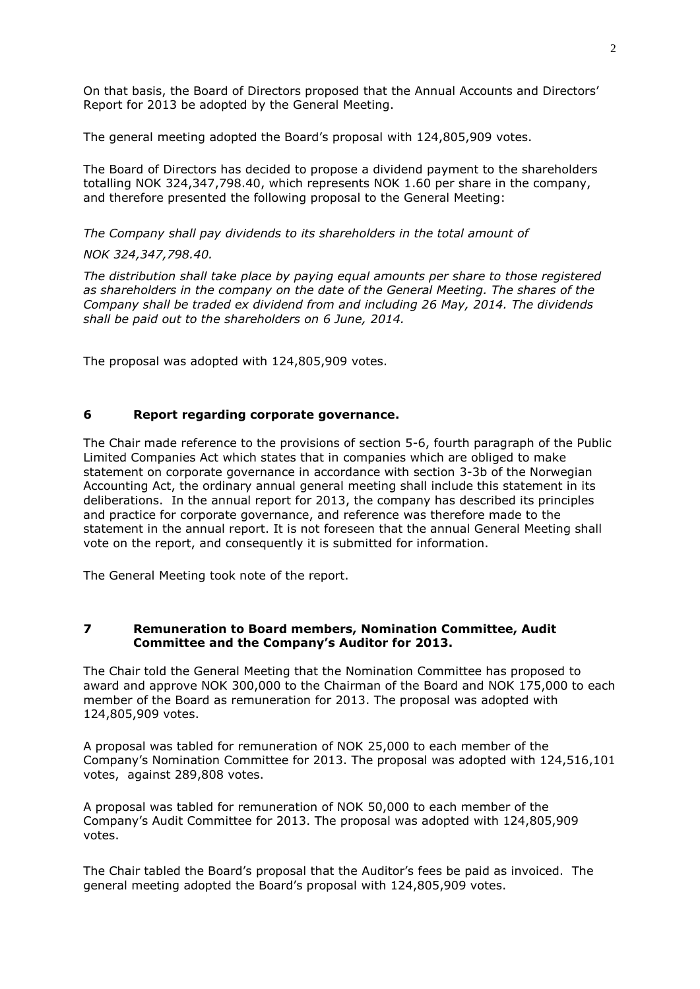On that basis, the Board of Directors proposed that the Annual Accounts and Directors' Report for 2013 be adopted by the General Meeting.

The general meeting adopted the Board's proposal with 124,805,909 votes.

The Board of Directors has decided to propose a dividend payment to the shareholders totalling NOK 324,347,798.40, which represents NOK 1.60 per share in the company, and therefore presented the following proposal to the General Meeting:

## *The Company shall pay dividends to its shareholders in the total amount of*

#### *NOK 324,347,798.40.*

*The distribution shall take place by paying equal amounts per share to those registered as shareholders in the company on the date of the General Meeting. The shares of the Company shall be traded ex dividend from and including 26 May, 2014. The dividends shall be paid out to the shareholders on 6 June, 2014.* 

The proposal was adopted with 124,805,909 votes.

## **6 Report regarding corporate governance.**

The Chair made reference to the provisions of section 5-6, fourth paragraph of the Public Limited Companies Act which states that in companies which are obliged to make statement on corporate governance in accordance with section 3-3b of the Norwegian Accounting Act, the ordinary annual general meeting shall include this statement in its deliberations. In the annual report for 2013, the company has described its principles and practice for corporate governance, and reference was therefore made to the statement in the annual report. It is not foreseen that the annual General Meeting shall vote on the report, and consequently it is submitted for information.

The General Meeting took note of the report.

#### **7 Remuneration to Board members, Nomination Committee, Audit Committee and the Company's Auditor for 2013.**

The Chair told the General Meeting that the Nomination Committee has proposed to award and approve NOK 300,000 to the Chairman of the Board and NOK 175,000 to each member of the Board as remuneration for 2013. The proposal was adopted with 124,805,909 votes.

A proposal was tabled for remuneration of NOK 25,000 to each member of the Company's Nomination Committee for 2013. The proposal was adopted with 124,516,101 votes, against 289,808 votes.

A proposal was tabled for remuneration of NOK 50,000 to each member of the Company's Audit Committee for 2013. The proposal was adopted with 124,805,909 votes.

The Chair tabled the Board's proposal that the Auditor's fees be paid as invoiced. The general meeting adopted the Board's proposal with 124,805,909 votes.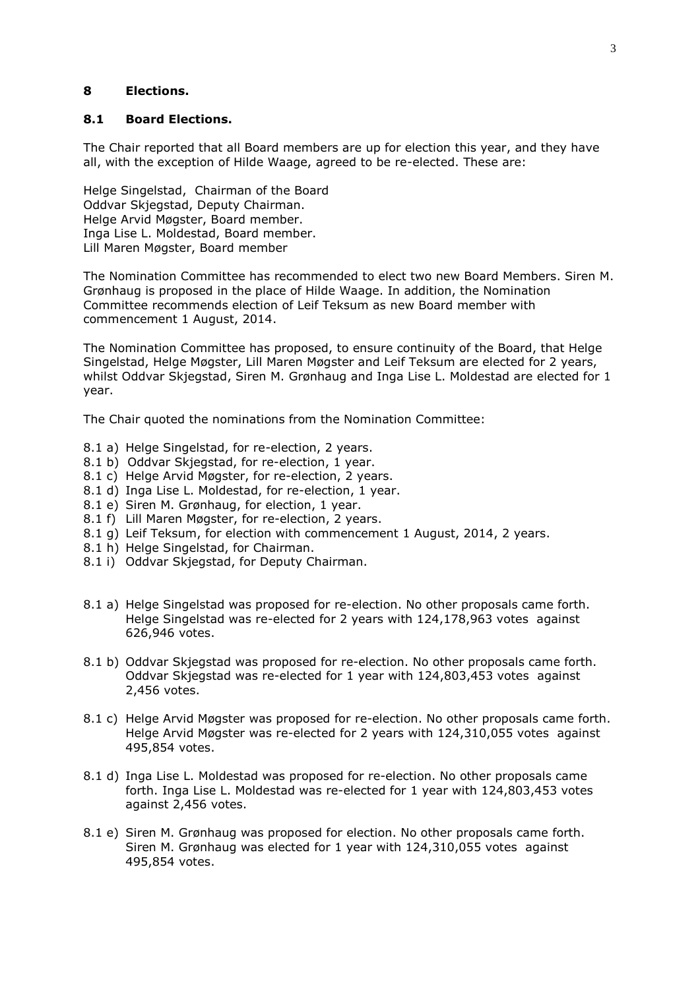## **8 Elections.**

#### **8.1 Board Elections.**

The Chair reported that all Board members are up for election this year, and they have all, with the exception of Hilde Waage, agreed to be re-elected. These are:

Helge Singelstad, Chairman of the Board Oddvar Skjegstad, Deputy Chairman. Helge Arvid Møgster, Board member. Inga Lise L. Moldestad, Board member. Lill Maren Møgster, Board member

The Nomination Committee has recommended to elect two new Board Members. Siren M. Grønhaug is proposed in the place of Hilde Waage. In addition, the Nomination Committee recommends election of Leif Teksum as new Board member with commencement 1 August, 2014.

The Nomination Committee has proposed, to ensure continuity of the Board, that Helge Singelstad, Helge Møgster, Lill Maren Møgster and Leif Teksum are elected for 2 years, whilst Oddvar Skjegstad, Siren M. Grønhaug and Inga Lise L. Moldestad are elected for 1 year.

The Chair quoted the nominations from the Nomination Committee:

- 8.1 a) Helge Singelstad, for re-election, 2 years.
- 8.1 b) Oddvar Skjegstad, for re-election, 1 year.
- 8.1 c) Helge Arvid Møgster, for re-election, 2 years.
- 8.1 d) Inga Lise L. Moldestad, for re-election, 1 year.
- 8.1 e) Siren M. Grønhaug, for election, 1 year.
- 8.1 f) Lill Maren Møgster, for re-election, 2 years.
- 8.1 g) Leif Teksum, for election with commencement 1 August, 2014, 2 years.
- 8.1 h) Helge Singelstad, for Chairman.
- 8.1 i) Oddvar Skjegstad, for Deputy Chairman.
- 8.1 a) Helge Singelstad was proposed for re-election. No other proposals came forth. Helge Singelstad was re-elected for 2 years with 124,178,963 votes against 626,946 votes.
- 8.1 b) Oddvar Skjegstad was proposed for re-election. No other proposals came forth. Oddvar Skjegstad was re-elected for 1 year with 124,803,453 votes against 2,456 votes.
- 8.1 c) Helge Arvid Møgster was proposed for re-election. No other proposals came forth. Helge Arvid Møgster was re-elected for 2 years with 124,310,055 votes against 495,854 votes.
- 8.1 d) Inga Lise L. Moldestad was proposed for re-election. No other proposals came forth. Inga Lise L. Moldestad was re-elected for 1 year with 124,803,453 votes against 2,456 votes.
- 8.1 e) Siren M. Grønhaug was proposed for election. No other proposals came forth. Siren M. Grønhaug was elected for 1 year with 124,310,055 votes against 495,854 votes.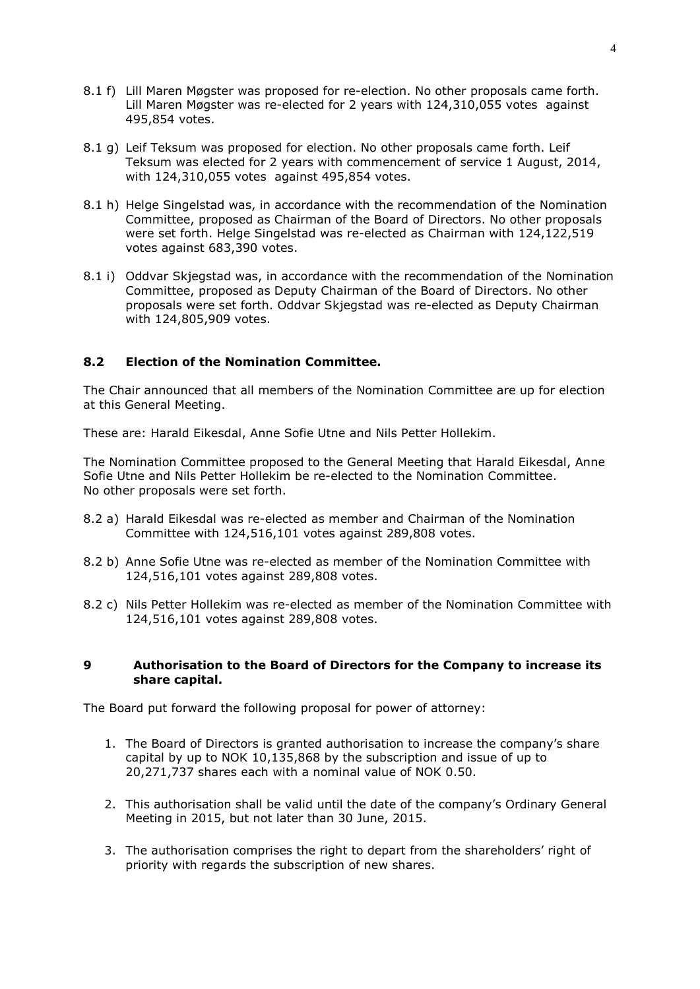- 8.1 f) Lill Maren Møgster was proposed for re-election. No other proposals came forth. Lill Maren Møgster was re-elected for 2 years with 124,310,055 votes against 495,854 votes.
- 8.1 g) Leif Teksum was proposed for election. No other proposals came forth. Leif Teksum was elected for 2 years with commencement of service 1 August, 2014, with 124,310,055 votes against 495,854 votes.
- 8.1 h) Helge Singelstad was, in accordance with the recommendation of the Nomination Committee, proposed as Chairman of the Board of Directors. No other proposals were set forth. Helge Singelstad was re-elected as Chairman with 124,122,519 votes against 683,390 votes.
- 8.1 i) Oddvar Skjegstad was, in accordance with the recommendation of the Nomination Committee, proposed as Deputy Chairman of the Board of Directors. No other proposals were set forth. Oddvar Skjegstad was re-elected as Deputy Chairman with 124,805,909 votes.

## **8.2 Election of the Nomination Committee.**

The Chair announced that all members of the Nomination Committee are up for election at this General Meeting.

These are: Harald Eikesdal, Anne Sofie Utne and Nils Petter Hollekim.

The Nomination Committee proposed to the General Meeting that Harald Eikesdal, Anne Sofie Utne and Nils Petter Hollekim be re-elected to the Nomination Committee. No other proposals were set forth.

- 8.2 a) Harald Eikesdal was re-elected as member and Chairman of the Nomination Committee with 124,516,101 votes against 289,808 votes.
- 8.2 b) Anne Sofie Utne was re-elected as member of the Nomination Committee with 124,516,101 votes against 289,808 votes.
- 8.2 c) Nils Petter Hollekim was re-elected as member of the Nomination Committee with 124,516,101 votes against 289,808 votes.

#### **9 Authorisation to the Board of Directors for the Company to increase its share capital.**

The Board put forward the following proposal for power of attorney:

- 1. The Board of Directors is granted authorisation to increase the company's share capital by up to NOK 10,135,868 by the subscription and issue of up to 20,271,737 shares each with a nominal value of NOK 0.50.
- 2. This authorisation shall be valid until the date of the company's Ordinary General Meeting in 2015, but not later than 30 June, 2015.
- 3. The authorisation comprises the right to depart from the shareholders' right of priority with regards the subscription of new shares.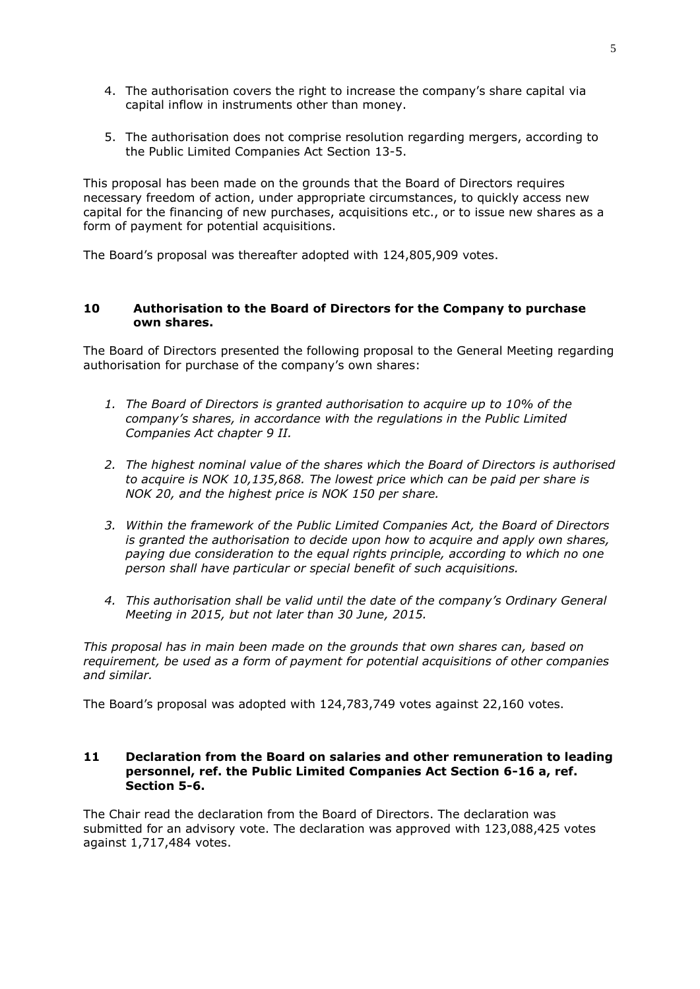- 4. The authorisation covers the right to increase the company's share capital via capital inflow in instruments other than money.
- 5. The authorisation does not comprise resolution regarding mergers, according to the Public Limited Companies Act Section 13-5.

This proposal has been made on the grounds that the Board of Directors requires necessary freedom of action, under appropriate circumstances, to quickly access new capital for the financing of new purchases, acquisitions etc., or to issue new shares as a form of payment for potential acquisitions.

The Board's proposal was thereafter adopted with 124,805,909 votes.

## **10 Authorisation to the Board of Directors for the Company to purchase own shares.**

The Board of Directors presented the following proposal to the General Meeting regarding authorisation for purchase of the company's own shares:

- *1. The Board of Directors is granted authorisation to acquire up to 10% of the company's shares, in accordance with the regulations in the Public Limited Companies Act chapter 9 II.*
- *2. The highest nominal value of the shares which the Board of Directors is authorised to acquire is NOK 10,135,868. The lowest price which can be paid per share is NOK 20, and the highest price is NOK 150 per share.*
- *3. Within the framework of the Public Limited Companies Act, the Board of Directors is granted the authorisation to decide upon how to acquire and apply own shares, paying due consideration to the equal rights principle, according to which no one person shall have particular or special benefit of such acquisitions.*
- *4. This authorisation shall be valid until the date of the company's Ordinary General Meeting in 2015, but not later than 30 June, 2015.*

*This proposal has in main been made on the grounds that own shares can, based on requirement, be used as a form of payment for potential acquisitions of other companies and similar.*

The Board's proposal was adopted with 124,783,749 votes against 22,160 votes.

## **11 Declaration from the Board on salaries and other remuneration to leading personnel, ref. the Public Limited Companies Act Section 6-16 a, ref. Section 5-6.**

The Chair read the declaration from the Board of Directors. The declaration was submitted for an advisory vote. The declaration was approved with 123,088,425 votes against 1,717,484 votes.